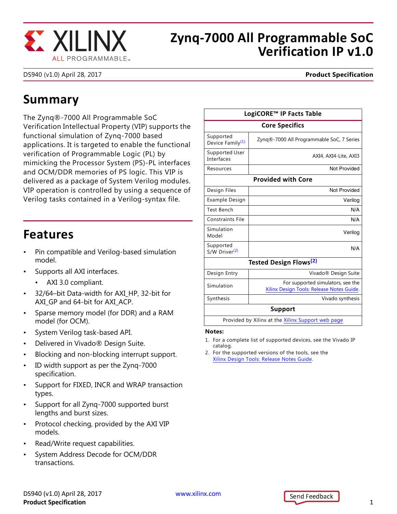

### **Zynq-7000 All Programmable SoC Verification IP v1.0**

DS940 (v1.0) April 28, 2017 **Product Specification**

## **Summary**

The Zynq®-7000 All Programmable SoC Verification Intellectual Property (VIP) supports the functional simulation of Zynq-7000 based applications. It is targeted to enable the functional verification of Programmable Logic (PL) by mimicking the Processor System (PS)-PL interfaces and OCM/DDR memories of PS logic. This VIP is delivered as a package of System Verilog modules. VIP operation is controlled by using a sequence of Verilog tasks contained in a Verilog-syntax file.

### **Features**

- Pin compatible and Verilog-based simulation model.
- Supports all AXI interfaces.
	- AXI 3.0 compliant.
- 32/64–bit Data-width for AXI\_HP, 32-bit for AXI\_GP and 64-bit for AXI\_ACP.
- Sparse memory model (for DDR) and a RAM model (for OCM).
- System Verilog task-based API.
- Delivered in Vivado® Design Suite.
- Blocking and non-blocking interrupt support.
- ID width support as per the Zynq-7000 specification.
- Support for FIXED, INCR and WRAP transaction types.
- Support for all Zynq-7000 supported burst lengths and burst sizes.
- Protocol checking, provided by the AXI VIP models.
- Read/Write request capabilities.
- System Address Decode for OCM/DDR transactions.

| LogiCORE™ IP Facts Table                          |                                                                                |
|---------------------------------------------------|--------------------------------------------------------------------------------|
| <b>Core Specifics</b>                             |                                                                                |
| Supported<br>Device Family <sup>(1)</sup>         | Zyng®-7000 All Programmable SoC, 7 Series                                      |
| Supported User<br>Interfaces                      | AXI4, AXI4-Lite, AXI3                                                          |
| Resources                                         | Not Provided                                                                   |
| <b>Provided with Core</b>                         |                                                                                |
| Design Files                                      | Not Provided                                                                   |
| Example Design                                    | Verilog                                                                        |
| <b>Test Bench</b>                                 | N/A                                                                            |
| <b>Constraints File</b>                           | N/A                                                                            |
| Simulation<br>Model                               | Verilog                                                                        |
| Supported<br>S/W Driver <sup>(2)</sup>            | N/A                                                                            |
| Tested Design Flows <sup>(2)</sup>                |                                                                                |
| Design Entry                                      | Vivado <sup>®</sup> Design Suite                                               |
| Simulation                                        | For supported simulators, see the<br>Xilinx Design Tools: Release Notes Guide. |
| Synthesis                                         | Vivado synthesis                                                               |
| Support                                           |                                                                                |
| Provided by Xilinx at the Xilinx Support web page |                                                                                |
|                                                   |                                                                                |

#### **Notes:**

- <span id="page-0-0"></span>1. For a complete list of supported devices, see the Vivado IP catalog.
- <span id="page-0-1"></span>2. For the supported versions of the tools, see the [Xilinx Design Tools: Release Notes Guide](http://www.xilinx.com/cgi-bin/docs/rdoc?v=2017.1;t=vivado+release+notes).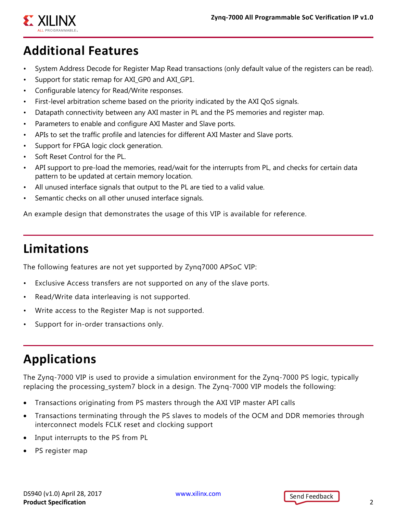

# **Additional Features**

- System Address Decode for Register Map Read transactions (only default value of the registers can be read).
- Support for static remap for AXI\_GP0 and AXI\_GP1.
- Configurable latency for Read/Write responses.
- First-level arbitration scheme based on the priority indicated by the AXI QoS signals.
- Datapath connectivity between any AXI master in PL and the PS memories and register map.
- Parameters to enable and configure AXI Master and Slave ports.
- APIs to set the traffic profile and latencies for different AXI Master and Slave ports.
- Support for FPGA logic clock generation.
- Soft Reset Control for the PL.
- API support to pre-load the memories, read/wait for the interrupts from PL, and checks for certain data pattern to be updated at certain memory location.
- All unused interface signals that output to the PL are tied to a valid value.
- Semantic checks on all other unused interface signals.

An example design that demonstrates the usage of this VIP is available for reference.

# **Limitations**

The following features are not yet supported by Zynq7000 APSoC VIP:

- Exclusive Access transfers are not supported on any of the slave ports.
- Read/Write data interleaving is not supported.
- Write access to the Register Map is not supported.
- Support for in-order transactions only.

# **Applications**

The Zynq-7000 VIP is used to provide a simulation environment for the Zynq-7000 PS logic, typically replacing the processing\_system7 block in a design. The Zynq-7000 VIP models the following:

- Transactions originating from PS masters through the AXI VIP master API calls
- Transactions terminating through the PS slaves to models of the OCM and DDR memories through interconnect models FCLK reset and clocking support
- Input interrupts to the PS from PL
- PS register map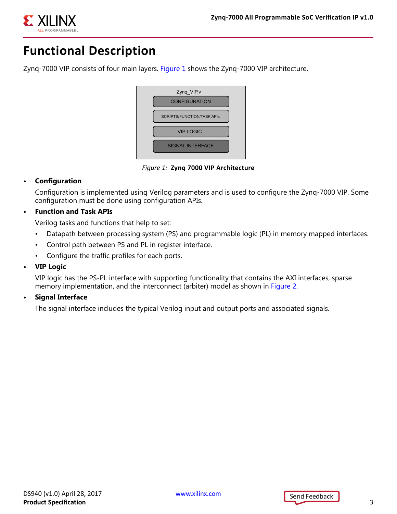

# **Functional Description**

<span id="page-2-0"></span>Zynq-7000 VIP consists of four main layers. [Figure 1](#page-2-0) shows the Zynq-7000 VIP architecture.



*Figure 1:* **Zynq 7000 VIP Architecture**

#### **• Configuration**

Configuration is implemented using Verilog parameters and is used to configure the Zynq-7000 VIP. Some configuration must be done using configuration APIs.

#### **• Function and Task APIs**

Verilog tasks and functions that help to set:

- Datapath between processing system (PS) and programmable logic (PL) in memory mapped interfaces.
- Control path between PS and PL in register interface.
- Configure the traffic profiles for each ports.
- **VIP Logic**

VIP logic has the PS-PL interface with supporting functionality that contains the AXI interfaces, sparse memory implementation, and the interconnect (arbiter) model as shown in [Figure 2](#page-3-0).

**• Signal Interface**

The signal interface includes the typical Verilog input and output ports and associated signals.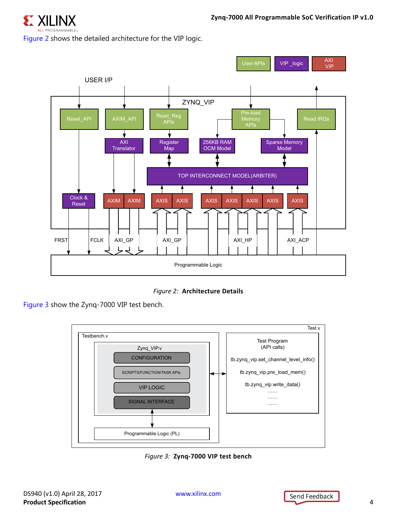

<span id="page-3-0"></span>Figure 2 shows the detailed architecture for the VIP logic.



*Figure 2:* **Architecture Details**

<span id="page-3-1"></span>[Figure 3](#page-3-1) show the Zynq-7000 VIP test bench.



*Figure 3:* **Zynq-7000 VIP test bench**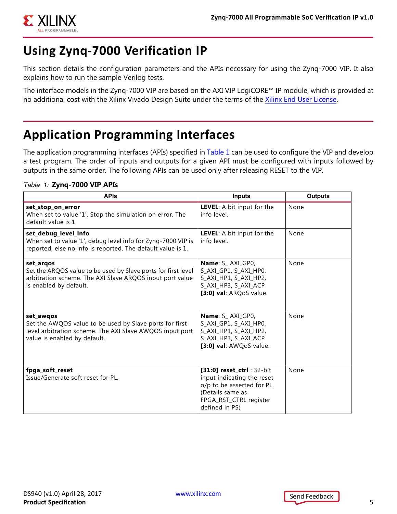

## **Using Zynq-7000 Verification IP**

This section details the configuration parameters and the APIs necessary for using the Zynq-7000 VIP. It also explains how to run the sample Verilog tests.

The interface models in the Zynq-7000 VIP are based on the AXI VIP LogiCORE™ IP module, which is provided at no additional cost with the Xilinx Vivado Design Suite under the terms of the [Xilinx End User License](https://www.xilinx.com/cgi-bin/docs/rdoc?d=end-user-license-agreement.txt).

# **Application Programming Interfaces**

The application programming interfaces (APIs) specified in [Table 1](#page-4-0) can be used to configure the VIP and develop a test program. The order of inputs and outputs for a given API must be configured with inputs followed by outputs in the same order. The following APIs can be used only after releasing RESET to the VIP.

#### <span id="page-4-0"></span>*Table 1:* **Zynq-7000 VIP APIs**

| <b>APIs</b>                                                                                                                                                      | <b>Inputs</b>                                                                                                                                         | <b>Outputs</b> |
|------------------------------------------------------------------------------------------------------------------------------------------------------------------|-------------------------------------------------------------------------------------------------------------------------------------------------------|----------------|
| set_stop_on_error<br>When set to value '1', Stop the simulation on error. The<br>default value is 1.                                                             | LEVEL: A bit input for the<br>info level.                                                                                                             | None           |
| set_debug_level_info<br>When set to value '1', debug level info for Zynq-7000 VIP is<br>reported, else no info is reported. The default value is 1.              | LEVEL: A bit input for the<br>info level.                                                                                                             | None           |
| set argos<br>Set the ARQOS value to be used by Slave ports for first level<br>arbitration scheme. The AXI Slave ARQOS input port value<br>is enabled by default. | Name: S AXI GP0,<br>S_AXI_GP1, S_AXI_HP0,<br>S AXI HP1, S AXI HP2,<br>S_AXI_HP3, S_AXI_ACP<br>[3:0] val: ARQoS value.                                 | None           |
| set awgos<br>Set the AWQOS value to be used by Slave ports for first<br>level arbitration scheme. The AXI Slave AWQOS input port<br>value is enabled by default. | Name: S_AXI_GP0,<br>S_AXI_GP1, S_AXI_HP0,<br>S_AXI_HP1, S_AXI_HP2,<br>S_AXI_HP3, S_AXI_ACP<br>[3:0] val: AWQoS value.                                 | None           |
| fpga_soft_reset<br>Issue/Generate soft reset for PL.                                                                                                             | [31:0] reset_ctrl: 32-bit<br>input indicating the reset<br>o/p to be asserted for PL.<br>(Details same as<br>FPGA_RST_CTRL register<br>defined in PS) | None           |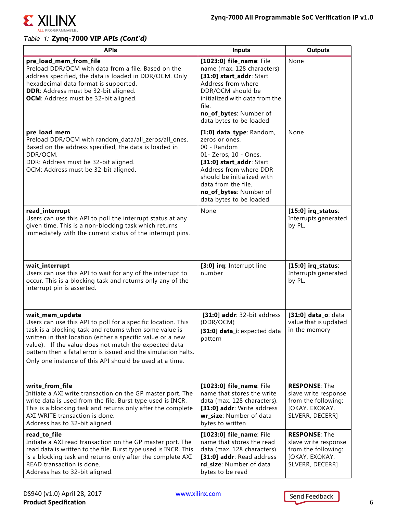

 $\Gamma$ 

#### *Table 1:* **Zynq-7000 VIP APIs** *(Cont'd)*

| <b>APIS</b>                                                                                                                                                                                                                                                                                                                                                                                   | <b>Inputs</b>                                                                                                                                                                                                                                      | <b>Outputs</b>                                                                                           |
|-----------------------------------------------------------------------------------------------------------------------------------------------------------------------------------------------------------------------------------------------------------------------------------------------------------------------------------------------------------------------------------------------|----------------------------------------------------------------------------------------------------------------------------------------------------------------------------------------------------------------------------------------------------|----------------------------------------------------------------------------------------------------------|
| pre_load_mem_from_file<br>Preload DDR/OCM with data from a file. Based on the<br>address specified, the data is loaded in DDR/OCM. Only<br>hexadecimal data format is supported.<br>DDR: Address must be 32-bit aligned.<br>OCM: Address must be 32-bit aligned.                                                                                                                              | [1023:0] file_name: File<br>name (max. 128 characters)<br>[31:0] start_addr: Start<br>Address from where<br>DDR/OCM should be<br>initialized with data from the<br>file.<br>no_of_bytes: Number of<br>data bytes to be loaded                      | None                                                                                                     |
| pre_load_mem<br>Preload DDR/OCM with random_data/all_zeros/all_ones.<br>Based on the address specified, the data is loaded in<br>DDR/OCM.<br>DDR: Address must be 32-bit aligned.<br>OCM: Address must be 32-bit aligned.                                                                                                                                                                     | [1:0] data_type: Random,<br>zeros or ones.<br>00 - Random<br>01- Zeros, 10 - Ones.<br>[31:0] start_addr: Start<br>Address from where DDR<br>should be initialized with<br>data from the file.<br>no_of_bytes: Number of<br>data bytes to be loaded | None                                                                                                     |
| read_interrupt<br>Users can use this API to poll the interrupt status at any<br>given time. This is a non-blocking task which returns<br>immediately with the current status of the interrupt pins.                                                                                                                                                                                           | None                                                                                                                                                                                                                                               | $[15:0]$ irq_status:<br>Interrupts generated<br>by PL.                                                   |
| wait_interrupt<br>Users can use this API to wait for any of the interrupt to<br>occur. This is a blocking task and returns only any of the<br>interrupt pin is asserted.                                                                                                                                                                                                                      | [3:0] irq: Interrupt line<br>number                                                                                                                                                                                                                | $[15:0]$ irq_status:<br>Interrupts generated<br>by PL.                                                   |
| wait_mem_update<br>Users can use this API to poll for a specific location. This<br>task is a blocking task and returns when some value is<br>written in that location (either a specific value or a new<br>value). If the value does not match the expected data<br>pattern then a fatal error is issued and the simulation halts.<br>Only one instance of this API should be used at a time. | [31:0] addr: 32-bit address<br>(DDR/OCM)<br>[31:0] data_i: expected data<br>pattern                                                                                                                                                                | [31:0] data_o: data<br>value that is updated<br>in the memory                                            |
| write_from_file<br>Initiate a AXI write transaction on the GP master port. The<br>write data is used from the file. Burst type used is INCR.<br>This is a blocking task and returns only after the complete<br>AXI WRITE transaction is done.<br>Address has to 32-bit aligned.                                                                                                               | [1023:0] file_name: File<br>name that stores the write<br>data (max. 128 characters).<br>[31:0] addr: Write address<br>wr_size: Number of data<br>bytes to written                                                                                 | <b>RESPONSE: The</b><br>slave write response<br>from the following:<br>[OKAY, EXOKAY,<br>SLVERR, DECERR] |
| read_to_file<br>Initiate a AXI read transaction on the GP master port. The<br>read data is written to the file. Burst type used is INCR. This<br>is a blocking task and returns only after the complete AXI<br>READ transaction is done.<br>Address has to 32-bit aligned.                                                                                                                    | [1023:0] file_name: File<br>name that stores the read<br>data (max. 128 characters).<br>[31:0] addr: Read address<br>rd_size: Number of data<br>bytes to be read                                                                                   | <b>RESPONSE: The</b><br>slave write response<br>from the following:<br>[OKAY, EXOKAY,<br>SLVERR, DECERR] |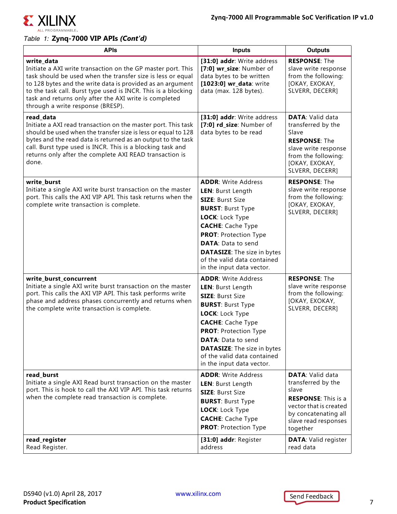

### *Table 1:* **Zynq-7000 VIP APIs** *(Cont'd)*

| <b>APIs</b>                                                                                                                                                                                                                                                                                                                                                             | <b>Inputs</b>                                                                                                                                                                                                                                                                                                        | <b>Outputs</b>                                                                                                                                                             |
|-------------------------------------------------------------------------------------------------------------------------------------------------------------------------------------------------------------------------------------------------------------------------------------------------------------------------------------------------------------------------|----------------------------------------------------------------------------------------------------------------------------------------------------------------------------------------------------------------------------------------------------------------------------------------------------------------------|----------------------------------------------------------------------------------------------------------------------------------------------------------------------------|
| write_data<br>Initiate a AXI write transaction on the GP master port. This<br>task should be used when the transfer size is less or equal<br>to 128 bytes and the write data is provided as an argument<br>to the task call. Burst type used is INCR. This is a blocking<br>task and returns only after the AXI write is completed<br>through a write response (BRESP). | [31:0] addr: Write address<br>[7:0] wr_size: Number of<br>data bytes to be written<br>[1023:0] wr_data: write<br>data (max. 128 bytes).                                                                                                                                                                              | <b>RESPONSE: The</b><br>slave write response<br>from the following:<br>[OKAY, EXOKAY,<br>SLVERR, DECERR]                                                                   |
| read_data<br>Initiate a AXI read transaction on the master port. This task<br>should be used when the transfer size is less or equal to 128<br>bytes and the read data is returned as an output to the task<br>call. Burst type used is INCR. This is a blocking task and<br>returns only after the complete AXI READ transaction is<br>done.                           | [31:0] addr: Write address<br>[7:0] rd_size: Number of<br>data bytes to be read                                                                                                                                                                                                                                      | <b>DATA: Valid data</b><br>transferred by the<br>Slave<br><b>RESPONSE: The</b><br>slave write response<br>from the following:<br>[OKAY, EXOKAY,<br>SLVERR, DECERR]         |
| write_burst<br>Initiate a single AXI write burst transaction on the master<br>port. This calls the AXI VIP API. This task returns when the<br>complete write transaction is complete.                                                                                                                                                                                   | <b>ADDR: Write Address</b><br>LEN: Burst Length<br><b>SIZE: Burst Size</b><br><b>BURST: Burst Type</b><br>LOCK: Lock Type<br><b>CACHE:</b> Cache Type<br><b>PROT: Protection Type</b><br><b>DATA: Data to send</b><br><b>DATASIZE:</b> The size in bytes<br>of the valid data contained<br>in the input data vector. | <b>RESPONSE: The</b><br>slave write response<br>from the following:<br>[OKAY, EXOKAY,<br>SLVERR, DECERR]                                                                   |
| write_burst_concurrent<br>Initiate a single AXI write burst transaction on the master<br>port. This calls the AXI VIP API. This task performs write<br>phase and address phases concurrently and returns when<br>the complete write transaction is complete.                                                                                                            | <b>ADDR: Write Address</b><br>LEN: Burst Length<br><b>SIZE: Burst Size</b><br><b>BURST: Burst Type</b><br>LOCK: Lock Type<br><b>CACHE:</b> Cache Type<br><b>PROT: Protection Type</b><br><b>DATA:</b> Data to send<br><b>DATASIZE:</b> The size in bytes<br>of the valid data contained<br>in the input data vector. | <b>RESPONSE: The</b><br>slave write response<br>from the following:<br>[OKAY, EXOKAY,<br>SLVERR, DECERR]                                                                   |
| read_burst<br>Initiate a single AXI Read burst transaction on the master<br>port. This is hook to call the AXI VIP API. This task returns<br>when the complete read transaction is complete.                                                                                                                                                                            | <b>ADDR: Write Address</b><br>LEN: Burst Length<br><b>SIZE: Burst Size</b><br><b>BURST: Burst Type</b><br>LOCK: Lock Type<br><b>CACHE:</b> Cache Type<br><b>PROT: Protection Type</b>                                                                                                                                | <b>DATA: Valid data</b><br>transferred by the<br>slave<br><b>RESPONSE:</b> This is a<br>vector that is created<br>by concatenating all<br>slave read responses<br>together |
| read_register<br>Read Register.                                                                                                                                                                                                                                                                                                                                         | [31:0] addr: Register<br>address                                                                                                                                                                                                                                                                                     | <b>DATA: Valid register</b><br>read data                                                                                                                                   |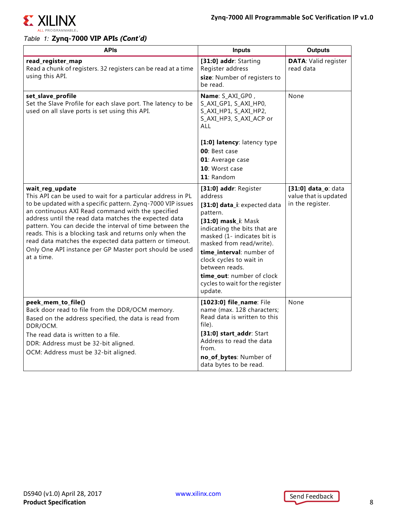

#### *Table 1:* **Zynq-7000 VIP APIs** *(Cont'd)*

| <b>APIs</b>                                                                                                                                                                                                                                                                                                                                                                                                                                                                                                             | <b>Inputs</b>                                                                                                                                                                                                                                                                                                                                      | <b>Outputs</b>                                                   |
|-------------------------------------------------------------------------------------------------------------------------------------------------------------------------------------------------------------------------------------------------------------------------------------------------------------------------------------------------------------------------------------------------------------------------------------------------------------------------------------------------------------------------|----------------------------------------------------------------------------------------------------------------------------------------------------------------------------------------------------------------------------------------------------------------------------------------------------------------------------------------------------|------------------------------------------------------------------|
| read_register_map<br>Read a chunk of registers. 32 registers can be read at a time<br>using this API.                                                                                                                                                                                                                                                                                                                                                                                                                   | [31:0] addr: Starting<br>Register address<br>size: Number of registers to<br>be read.                                                                                                                                                                                                                                                              | <b>DATA: Valid register</b><br>read data                         |
| set_slave_profile<br>Set the Slave Profile for each slave port. The latency to be<br>used on all slave ports is set using this API.                                                                                                                                                                                                                                                                                                                                                                                     | Name: S_AXI_GP0,<br>S_AXI_GP1, S_AXI_HP0,<br>S_AXI_HP1, S_AXI_HP2,<br>S_AXI_HP3, S_AXI_ACP or<br>ALL                                                                                                                                                                                                                                               | None                                                             |
|                                                                                                                                                                                                                                                                                                                                                                                                                                                                                                                         | [1:0] latency: latency type<br>00: Best case<br>01: Average case<br>10: Worst case<br>11: Random                                                                                                                                                                                                                                                   |                                                                  |
| wait_reg_update<br>This API can be used to wait for a particular address in PL<br>to be updated with a specific pattern. Zynq-7000 VIP issues<br>an continuous AXI Read command with the specified<br>address until the read data matches the expected data<br>pattern. You can decide the interval of time between the<br>reads. This is a blocking task and returns only when the<br>read data matches the expected data pattern or timeout.<br>Only One API instance per GP Master port should be used<br>at a time. | [31:0] addr: Register<br>address<br>[31:0] data_i: expected data<br>pattern.<br>[31:0] mask_i: Mask<br>indicating the bits that are<br>masked (1- indicates bit is<br>masked from read/write).<br>time_interval: number of<br>clock cycles to wait in<br>between reads.<br>time_out: number of clock<br>cycles to wait for the register<br>update. | [31:0] data_o: data<br>value that is updated<br>in the register. |
| peek_mem_to_file()<br>Back door read to file from the DDR/OCM memory.<br>Based on the address specified, the data is read from<br>DDR/OCM.<br>The read data is written to a file.<br>DDR: Address must be 32-bit aligned.<br>OCM: Address must be 32-bit aligned.                                                                                                                                                                                                                                                       | [1023:0] file_name: File<br>name (max. 128 characters;<br>Read data is written to this<br>file).<br>[31:0] start_addr: Start<br>Address to read the data<br>from.<br>no_of_bytes: Number of<br>data bytes to be read.                                                                                                                              | None                                                             |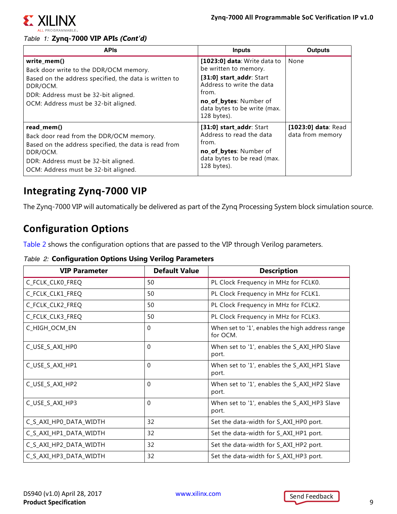

#### *Table 1:* **Zynq-7000 VIP APIs** *(Cont'd)*

| <b>APIs</b>                                                                                                                                                                                                 | <b>Inputs</b>                                                                                                                                                                                    | <b>Outputs</b>                          |
|-------------------------------------------------------------------------------------------------------------------------------------------------------------------------------------------------------------|--------------------------------------------------------------------------------------------------------------------------------------------------------------------------------------------------|-----------------------------------------|
| write_mem()<br>Back door write to the DDR/OCM memory.<br>Based on the address specified, the data is written to<br>DDR/OCM.<br>DDR: Address must be 32-bit aligned.<br>OCM: Address must be 32-bit aligned. | [1023:0] data: Write data to<br>be written to memory.<br>[31:0] start_addr: Start<br>Address to write the data<br>from.<br>no_of_bytes: Number of<br>data bytes to be write (max.<br>128 bytes). | None                                    |
| read_mem()<br>Back door read from the DDR/OCM memory.<br>Based on the address specified, the data is read from<br>DDR/OCM.<br>DDR: Address must be 32-bit aligned.<br>OCM: Address must be 32-bit aligned.  | [31:0] start_addr: Start<br>Address to read the data<br>from.<br>no_of_bytes: Number of<br>data bytes to be read (max.<br>128 bytes).                                                            | [1023:0] data: Read<br>data from memory |

### **Integrating Zynq-7000 VIP**

The Zynq-7000 VIP will automatically be delivered as part of the Zynq Processing System block simulation source.

### **Configuration Options**

[Table 2](#page-8-0) shows the configuration options that are passed to the VIP through Verilog parameters.

#### <span id="page-8-0"></span>*Table 2:* **Configuration Options Using Verilog Parameters**

| <b>VIP Parameter</b>   | <b>Default Value</b> | <b>Description</b>                                          |
|------------------------|----------------------|-------------------------------------------------------------|
| C_FCLK_CLK0_FREQ       | 50                   | PL Clock Frequency in MHz for FCLK0.                        |
| C_FCLK_CLK1_FREQ       | 50                   | PL Clock Frequency in MHz for FCLK1.                        |
| C_FCLK_CLK2_FREQ       | 50                   | PL Clock Frequency in MHz for FCLK2.                        |
| C_FCLK_CLK3_FREQ       | 50                   | PL Clock Frequency in MHz for FCLK3.                        |
| C_HIGH_OCM_EN          | $\Omega$             | When set to '1', enables the high address range<br>for OCM. |
| C_USE_S_AXI_HP0        | $\Omega$             | When set to '1', enables the S_AXI_HP0 Slave<br>port.       |
| C_USE_S_AXI_HP1        | $\Omega$             | When set to '1', enables the S_AXI_HP1 Slave<br>port.       |
| C_USE_S_AXI_HP2        | $\Omega$             | When set to '1', enables the S_AXI_HP2 Slave<br>port.       |
| C_USE_S_AXI_HP3        | $\Omega$             | When set to '1', enables the S_AXI_HP3 Slave<br>port.       |
| C_S_AXI_HP0_DATA_WIDTH | 32                   | Set the data-width for S_AXI_HP0 port.                      |
| C_S_AXI_HP1_DATA_WIDTH | 32                   | Set the data-width for S_AXI_HP1 port.                      |
| C_S_AXI_HP2_DATA_WIDTH | 32                   | Set the data-width for S_AXI_HP2 port.                      |
| C_S_AXI_HP3_DATA_WIDTH | 32                   | Set the data-width for S_AXI_HP3 port.                      |

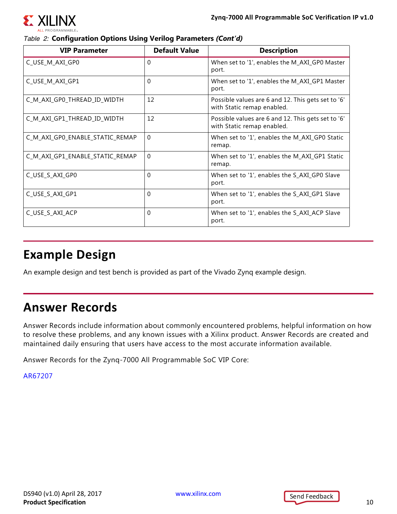ΣX

#### *Table 2:* **Configuration Options Using Verilog Parameters** *(Cont'd)*

| <b>VIP Parameter</b>            | <b>Default Value</b> | <b>Description</b>                                                               |
|---------------------------------|----------------------|----------------------------------------------------------------------------------|
| C_USE_M_AXI_GP0                 | $\Omega$             | When set to '1', enables the M_AXI_GP0 Master<br>port.                           |
| C_USE_M_AXI_GP1                 | $\Omega$             | When set to '1', enables the M_AXI_GP1 Master<br>port.                           |
| C_M_AXI_GP0_THREAD_ID_WIDTH     | 12                   | Possible values are 6 and 12. This gets set to '6'<br>with Static remap enabled. |
| C_M_AXI_GP1_THREAD_ID_WIDTH     | 12                   | Possible values are 6 and 12. This gets set to '6'<br>with Static remap enabled. |
| C_M_AXI_GP0_ENABLE_STATIC_REMAP | $\Omega$             | When set to '1', enables the M_AXI_GP0 Static<br>remap.                          |
| C_M_AXI_GP1_ENABLE_STATIC_REMAP | $\Omega$             | When set to '1', enables the M_AXI_GP1 Static<br>remap.                          |
| C_USE_S_AXI_GP0                 | $\Omega$             | When set to '1', enables the S_AXI_GP0 Slave<br>port.                            |
| C_USE_S_AXI_GP1                 | 0                    | When set to '1', enables the S_AXI_GP1 Slave<br>port.                            |
| C_USE_S_AXI_ACP                 | $\Omega$             | When set to '1', enables the S_AXI_ACP Slave<br>port.                            |

### **Example Design**

An example design and test bench is provided as part of the Vivado Zynq example design.

### **Answer Records**

Answer Records include information about commonly encountered problems, helpful information on how to resolve these problems, and any known issues with a Xilinx product. Answer Records are created and maintained daily ensuring that users have access to the most accurate information available.

Answer Records for the Zynq-7000 All Programmable SoC VIP Core:

[AR67207](https://www.xilinx.com/support/answers/67207.html)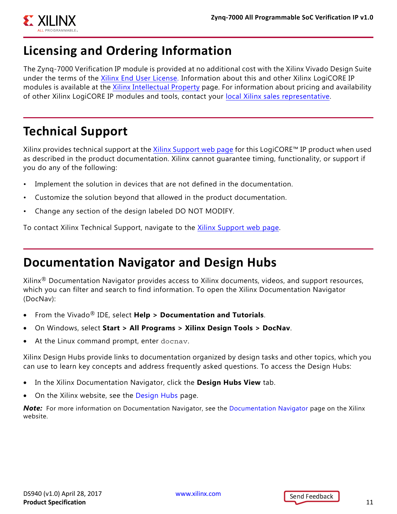

## **Licensing and Ordering Information**

The Zynq-7000 Verification IP module is provided at no additional cost with the Xilinx Vivado Design Suite under the terms of the [Xilinx End User License](https://www.xilinx.com/cgi-bin/docs/rdoc?t=eula). Information about this and other Xilinx LogiCORE IP modules is available at the [Xilinx Intellectual Property](https://www.xilinx.com/products/intellectual-property.html) page. For information about pricing and availability of other Xilinx LogiCORE IP modules and tools, contact your [local Xilinx sales representative.](https://www.xilinx.com/about/contact.html)

### **Technical Support**

Xilinx provides technical support at the [Xilinx Support web page](http://www.xilinx.com/support) for this LogiCORE™ IP product when used as described in the product documentation. Xilinx cannot guarantee timing, functionality, or support if you do any of the following:

- Implement the solution in devices that are not defined in the documentation.
- Customize the solution beyond that allowed in the product documentation.
- Change any section of the design labeled DO NOT MODIFY.

To contact Xilinx Technical Support, navigate to the [Xilinx Support web page](http://www.xilinx.com/support).

### **Documentation Navigator and Design Hubs**

Xilinx® Documentation Navigator provides access to Xilinx documents, videos, and support resources, which you can filter and search to find information. To open the Xilinx Documentation Navigator (DocNav):

- From the Vivado® IDE, select **Help > Documentation and Tutorials**.
- On Windows, select **Start > All Programs > Xilinx Design Tools > DocNav**.
- At the Linux command prompt, enter docnav.

Xilinx Design Hubs provide links to documentation organized by design tasks and other topics, which you can use to learn key concepts and address frequently asked questions. To access the Design Hubs:

- In the Xilinx Documentation Navigator, click the **Design Hubs View** tab.
- On the Xilinx website, see the [Design Hubs](https://www.xilinx.com/cgi-bin/docs/ndoc?t=design+hubs) page.

**Note:** For more information on [Documentation Navigator](https://www.xilinx.com/cgi-bin/docs/rdoc?t=docnav), see the Documentation Navigator page on the Xilinx website.